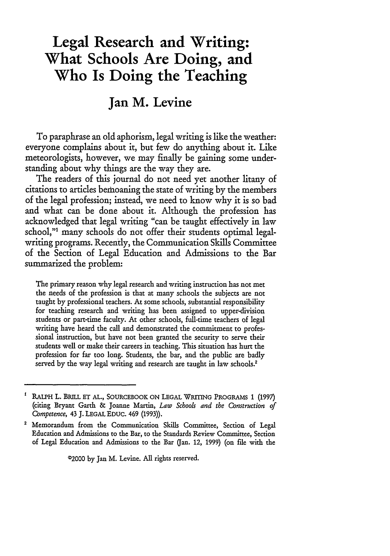# **Legal Research and Writing: What Schools Are Doing, and Who Is Doing the Teaching**

## **Jan M. Levine**

To paraphrase an old aphorism, legal writing is like the weather: everyone complains about it, but few do anything about it. Like meteorologists, however, we may finally be gaining some understanding about why things are the way they are.

The readers of this journal do not need yet another litany of citations to articles bemoaning the state of writing by the members of the legal profession; instead, we need to know why it is so bad and what can be done about it. Although the profession has acknowledged that legal writing "can be taught effectively in law school,"' many schools do not offer their students optimal legalwriting programs. Recently, the Communication Skills Committee of the Section of Legal Education and Admissions to the Bar summarized the problem:

The primary reason why legal research and writing instruction has not met the needs of the profession is that at many schools the subjects are not taught by professional teachers. At some schools, substantial responsibility for teaching research and writing has been assigned to upper-division students or part-time faculty. At other schools, full-time teachers of legal writing have heard the call and demonstrated the commitment to professional instruction, but have not been granted the security to serve their students well or make their careers in teaching. This situation has hurt the profession for far too long. Students, the bar, and the public are badly served by the way legal writing and research are taught in law schools.<sup>2</sup>

02000 by Jan M. Levine. **All** rights reserved.

RALPH L. BRILL ET **AL.,** SOURCEBOOK ON LEGAL WRrING PROGRAMS **1** (1997) (citing Bryant Garth **&** Joanne Martin, *Law Schools and the Construction of Competence,* 43 J. LEGAL EDUC. 469 **(1993)).**

**<sup>2</sup>** Memorandum from the Communication Skills Committee, Section of Legal Education and Admissions to the Bar, to the Standards Review Committee, Section of Legal Education and Admissions to the Bar (Jan. 12, 1999) (on file with the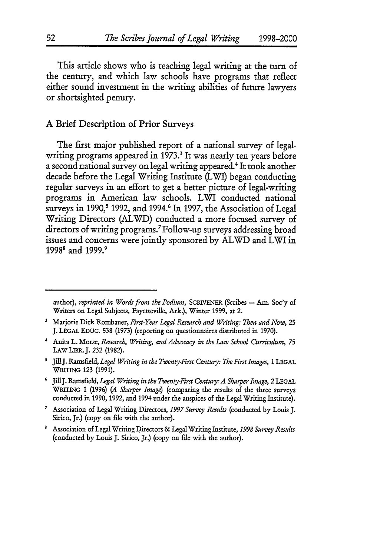This article shows who is teaching legal writing at the turn of the century, and which law schools have programs that reflect either sound investment in the writing abilities of future lawyers or shortsighted penury.

## A Brief Description of Prior Surveys

The first major published report of a national survey of legalwriting programs appeared in 1973.<sup>3</sup> It was nearly ten years before a second national survey on legal writing appeared.4 It took another decade before the Legal Writing Institute (LWI) began conducting regular surveys in an effort to get a better picture of legal-writing programs in American law schools. LWI conducted national surveys in 1990,<sup>5</sup> 1992, and 1994.<sup>6</sup> In 1997, the Association of Legal Writing Directors (ALWD) conducted a more focused survey of directors of writing programs. 7 Follow-up surveys addressing broad issues and concerns were jointly sponsored by ALWD and LWI in 19988 and **1999.9**

author), *reprinted in Words from the Podium,* SCRIVENER (Scribes **-** Am. Soc'y of Writers on Legal Subjects, Fayetteville, Ark.), Winter 1999, at 2.

Marjorie Dick Rombauer, *Fint-Year Legal Research and Writing: Then and Now,* 25 **J.** LEGAL **EDUC.** 538 (1973) (reporting on questionnaires distributed in 1970).

Anita L. Morse, *Research, Writing, and Advocacy in the Law School Curriculum, 75* **LAW** LIBR.J. **232 (1982).**

s JilJ. Ramsfield, *Legal Writing in the Twenty-First Century: The First Images,* **1 LEGAL WRrmING** 123 **(1991).**

**<sup>6</sup>**JiUIJ. Ramsfield, *Legal Writing in the Twenty-First Century: A Sharper Image, 2* **LEGAL** WRING 1 **(1996)** *(A Sharper Image)* (comparing the results of the three surveys conducted in **1990, 1992,** and 1994 under the auspices of the Legal Writing Institute).

*<sup>7</sup>* Association of Legal Writing Directors, *1997 Survey Results* (conducted by Louis J. Sirico, Jr.) (copy on file with the author).

Association of Legal Writing Directors **&** Legal Writing Institute, *1998 Survey Results* (conducted by Louis J. Sirico, Jr.) (copy on file with the author).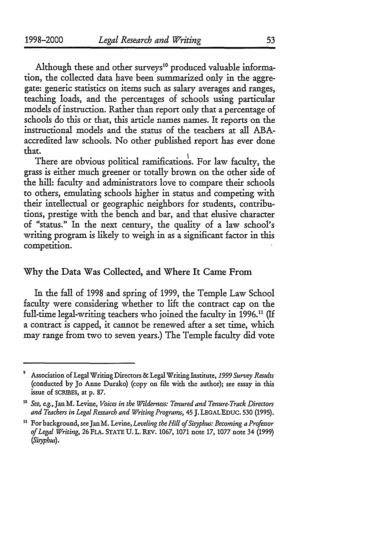Although these and other surveys<sup>10</sup> produced valuable information, the collected data have been summarized only in the aggregate: generic statistics on items such as salary averages and ranges, teaching loads, and the percentages of schools using particular models of instruction. Rather than report only that a percentage of schools do this or that, this article names names. It reports on the instructional models and the status of the teachers at all ABAaccredited law schools. No other published report has ever done that.

There are obvious political ramifications. For law faculty, the grass is either much greener or totally brown on the other side of the hill: faculty and administrators love to compare their schools to others, emulating schools higher in status and competing with their intellectual or geographic neighbors for students, contributions, prestige with the bench and bar, and that elusive character of "status." In the next century, the quality of a law school's writing program is likely to weigh in as a significant factor in this competition.

## Why the Data Was Collected, and Where It Came From

In the fall of **1998** and spring of **1999,** the Temple Law School faculty were considering whether to lift the contract cap on the full-time legal-writing teachers who joined the faculty in 1996.<sup>11</sup> (If a contract is capped, it cannot be renewed after a set time, which may range from two to seven years.) The Temple faculty did vote

**<sup>&#</sup>x27;** Association of Legal Writing Directors & Legal Writing Institute, *1999 Survey Results* (conducted by Jo Anne Durako) (copy on file with the author); see essay in this issue of scRIBEs, at p. 87.

*to See, e.g.,* Jan M. Levine, *Voices in the Wilderness: Tenured and Tenure-Track Directors and Teachers in Legal Research and Writing Programs,* 45 **J.** LEGALEDUC. 530 (1995).

**it** For background, see Jan M. Levine, *Leveling the Hill of Sisyphus: Becoming a Professor of Legal Writing,* 26 FLA. STATE **U.** L. REV. 1067, 1071 note **17,** 1077 note 34 **(1999)** *(Sisyphus).*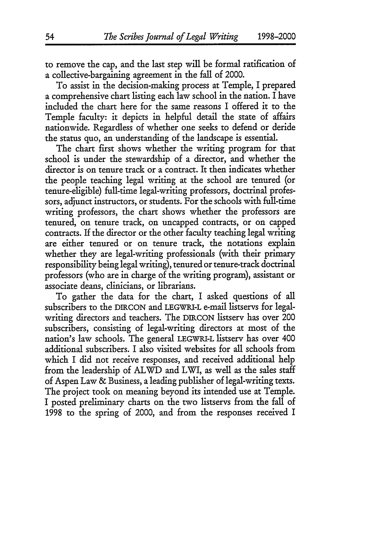to remove the cap, and the last step will be formal ratification of a collective-bargaining agreement in the fall of 2000.

To assist in the decision-making process at Temple, I prepared a comprehensive chart listing each law school in the nation. I have included the chart here for the same reasons I offered it to the Temple faculty: it depicts in helpful detail the state of affairs nationwide. Regardless of whether one seeks to defend or deride the status quo, an understanding of the landscape is essential.

The chart first shows whether the writing program for that school is under the stewardship of a director, and whether the director is on tenure track or a contract. It then indicates whether the people teaching legal writing at the school are tenured (or tenure-eligible) full-time legal-writing professors, doctrinal professors, adjunct instructors, or students. For the schools with full-time writing professors, the chart shows whether the professors are tenured, on tenure track, on uncapped contracts, or on capped contracts. If the director or the other faculty teaching legal writing are either tenured or on tenure track, the notations explain whether they are legal-writing professionals (with their primary responsibility being legal writing), tenured or tenure-track doctrinal professors (who are in charge of the writing program), assistant or associate deans, clinicians, or librarians.

To gather the data for the chart, I asked questions of all subscribers to the DIRCON and LEGWRI-L e-mail listservs for legalwriting directors and teachers. The DIRCON listserv has over 200 subscribers, consisting of legal-writing directors at most of the nation's law schools. The general LEGWRI-L listserv has over 400 additional subscribers. I also visited websites for all schools from which I did not receive responses, and received additional help from the leadership of ALWD and LWI, as well as the sales staff of Aspen Law & Business, a leading publisher of legal-writing texts. The project took on meaning beyond its intended use at Temple. I posted preliminary charts on the two listservs from the fall of 1998 to the spring of 2000, and from the responses received I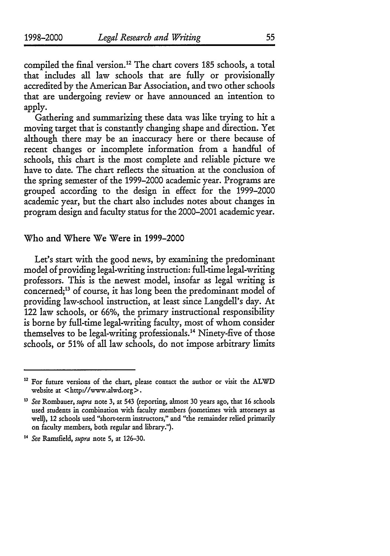compiled the final version.<sup>12</sup> The chart covers 185 schools, a total that includes all law schools that are fully or provisionally accredited by the American Bar Association, and two other schools that are undergoing review or have announced an intention to apply.

Gathering and summarizing these data was like trying to bit a moving target that is constantly changing shape and direction. Yet although there may be an inaccuracy here or there because of recent changes or incomplete information from a handful of schools, this chart is the most complete and reliable picture we have to date. The chart reflects the situation at the conclusion of the spring semester of the 1999-2000 academic year. Programs are grouped according to the design in effect for the 1999-2000 academic year, but the chart also includes notes about changes in program design and faculty status for the 2000-2001 academic year.

### Who and Where We Were in 1999-2000

Let's start with the good news, by examining the predominant model of providing legal-writing instruction: full-time legal-writing professors. This is the newest model, insofar as legal writing is concerned;<sup>13</sup> of course, it has long been the predominant model of providing law-school instruction, at least since Langdell's day. At 122 law schools, or 66%, the primary instructional responsibility is borne by full-time legal-writing faculty, most of whom consider themselves to be legal-writing professionals.14 Ninety-five of those schools, or 51% of all law schools, do not impose arbitrary limits

**<sup>12</sup>** For future versions of the chart, please contact the author or visit the ALWD website at <http://www.alwd.org>.

**<sup>&</sup>quot;** See Rombauer, supra note **3,** at 543 (reporting, almost 30 years ago, that 16 schools used students in combination with faculty members (sometimes with attorneys as well), 12 schools used "short-term instructors," and "the remainder relied primarily on faculty members, both regular and library.").

<sup>&</sup>lt;sup>14</sup> See Ramsfield, supra note 5, at 126-30.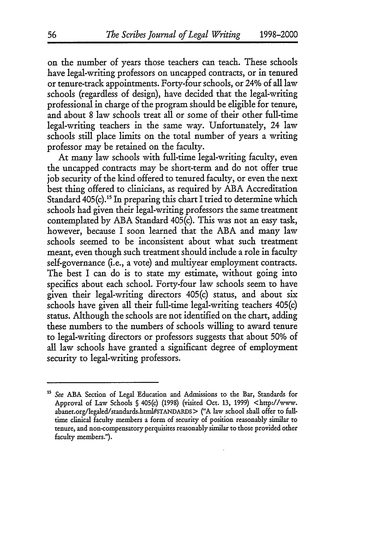on the number of years those teachers can teach. These schools have legal-writing professors on uncapped contracts, or in tenured or tenure-track appointments. Forty-four schools, or 24% of all law schools (regardless of design), have decided that the legal-writing professional in charge of the program should be eligible for tenure, and about 8 law schools treat all or some of their other full-time legal-writing teachers in the same way. Unfortunately, 24 law schools still place limits on the total number of years a writing professor may be retained on the faculty.

At many law schools with full-time legal-writing faculty, even the uncapped contracts may be short-term and do not offer true job security of the kind offered to tenured faculty, or even the next best thing offered to clinicians, as required by **ABA** Accreditation Standard 405(c).<sup>15</sup> In preparing this chart I tried to determine which schools had given their legal-writing professors the same treatment contemplated by ABA Standard 405(c). This was not an easy task, however, because I soon learned that the ABA and many law schools seemed to be inconsistent about what such treatment meant, even though such treatment should include a role in faculty self-governance (i.e., a vote) and multiyear employment contracts. The best I can do is to state my estimate, without going into specifics about each school. Forty-four law schools seem to have given their legal-writing directors 405(c) status, and about six schools have given all their full-time legal-writing teachers 405(c) status. Although the schools are not identified on the chart, adding these numbers to the numbers of schools willing to award tenure to legal-writing directors or professors suggests that about 50% of all law schools have granted a significant degree of employment security to legal-writing professors.

<sup>&</sup>lt;sup>15</sup> See ABA Section of Legal Education and Admissions to the Bar, Standards for Approval of Law Schools **§** 405(c) (1998) (visited Oct. 13, 1999) <http://www. abanet.org/legaled/standards.html#STANDARDS > ("A law school shall offer to fulltime clinical faculty members a form of security of position reasonably similar to tenure, and non-compensatory perquisites reasonably similar to those provided other faculty members.").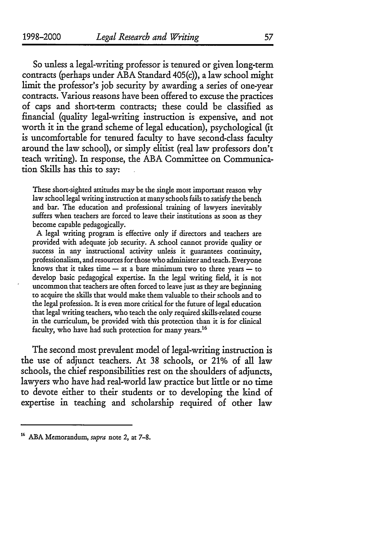So unless a legal-writing professor is tenured or given long-term contracts (perhaps under **ABA** Standard 405(c)), a law school might limit the professor's **job** security **by** awarding a series of one-year contracts. Various reasons have been offered to excuse the practices of caps and short-term contracts; these could be classified as financial (quality legal-writing instruction is expensive, and not worth it in the grand scheme of legal education), psychological (it is uncomfortable for tenured faculty to have second-class faculty around the law school), or simply elitist (real law professors don't teach writing). In response, the **ABA** Committee on Communica**tion** Skills has this to say:

These short-sighted attitudes may be the single most important reason why law school legal writing instruction at many schools fails to satisfy the bench and bar. The education and professional training of lawyers inevitably suffers when teachers are forced to leave their institutions as soon as they become capable pedagogically.

A legal writing program is effective only if directors and teachers are provided with adequate job security. A school cannot provide quality or success in any instructional activity unless it guarantees continuity, professionalism, and resources for those who administer and teach. Everyone knows that it takes time  $-$  at a bare minimum two to three years  $-$  to develop basic pedagogical expertise. In the legal writing field, it is not uncommon that teachers are often forced to leave just as they are beginning to acquire the skills that would make them valuable to their schools and to the legal profession. It is even more critical for the future of legal education that legal writing teachers, who teach the only required skills-related course in the curriculum, be provided with this protection than it is for clinical faculty, who have had such protection for many years.<sup>16</sup>

The second most prevalent model of legal-writing instruction is the use of adjunct teachers. At **38** schools, or 21% of all law schools, the chief responsibilities rest on the shoulders of adjuncts, lawyers who have had real-world law practice but little or no time to devote either to their students or to developing the kind of expertise in teaching and scholarship required of other law

**<sup>16</sup>**ABA Memorandum, supra note 2, at **7-8.**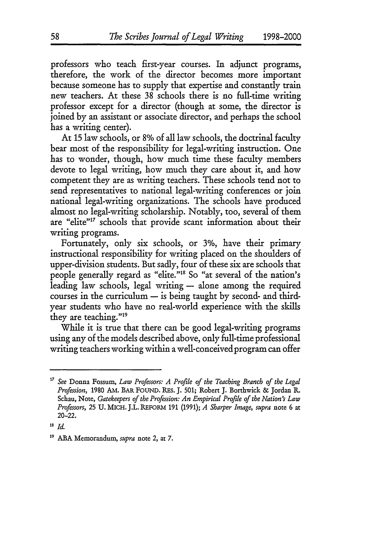professors who teach first-year courses. In adjunct programs, therefore, the work of the director becomes more important because someone has to supply that expertise and constantly train new teachers. At these 38 schools there is no full-time writing professor except for a director (though at some, the director is joined by an assistant or associate director, and perhaps the school has a writing center).

At 15 law schools, or 8% of all law schools, the doctrinal faculty bear most of the responsibility for legal-writing instruction. One has to wonder, though, how much time these faculty members devote to legal writing, how much they care about it, and how competent they are as writing teachers. These schools tend not to send representatives to national legal-writing conferences or join national legal-writing organizations. The schools have produced almost no legal-writing scholarship. Notably, too, several of them are "elite"<sup>17</sup> schools that provide scant information about their writing programs.

Fortunately, only six schools, or 3%, have their primary instructional responsibility for writing placed on the shoulders of upper-division students. But sadly, four of these six are schools that people generally regard as "elite."<sup>18</sup> So "at several of the nation's leading law schools, legal writing - alone among the required  $course$  in the curriculum  $-$  is being taught by second- and thirdyear students who have no real-world experience with the skills they are teaching."19

While it is true that there can be good legal-writing programs using any of the models described above, only full-time professional writing teachers working within a well-conceived program can offer

**<sup>17</sup>** *See* Donna Fossun, *Law Professors: A Profile of the Teaching Branch of the Legal Profession,* 1980 AM. BAR FOUND. RES. **J.** 501; Robert **J.** Borthwick & Jordan R. Schau, Note, *Gatekeepers of the Profession: An Empirical Profile of the Nation's Law Professors,* 25 **U.** MICH. J.L. REFORM **191** (1991); *A Sharper Image, supra* note 6 at 20-22.

**<sup>18</sup>** *Id.*

**<sup>&#</sup>x27;9** ABA Memorandum, *supra* note 2, at **7.**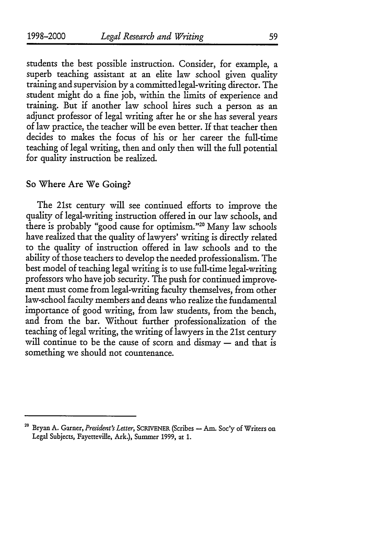students the best possible instruction. Consider, for example, a superb teaching assistant at an elite law school given quality training and supervision by a committed legal-writing director. The student might do a fine job, within the limits of experience and training. But if another law school hires such a person as an adjunct professor of legal writing after he or she has several years of law practice, the teacher will be even better. If that teacher then decides to makes the focus of his or her career the full-time teaching of legal writing, then and only then will the full potential for quality instruction be realized.

### So Where Are We Going?

The 21st century will see continued efforts to improve the quality of legal-writing instruction offered in our law schools, and there is probably "good cause for optimism."<sup>20</sup> Many law schools have realized that the quality of lawyers' writing is directly related to the quality of instruction offered in law schools and to the ability of those teachers to develop the needed professionalism. The best model of teaching legal writing is to use full-time legal-writing professors who have job security. The push for continued improvement must come from legal-writing faculty themselves, from other law-school faculty members and deans who realize the fundamental importance of good writing, from law students, from the bench, and from the bar. Without further professionalization of the teaching of legal writing, the writing of lawyers in the 21st century will continue to be the cause of scorn and dismay - and that is something we should not countenance.

<sup>&</sup>lt;sup>20</sup> Bryan A. Garner, *President's Letter*, SCRIVENER (Scribes - Am. Soc'y of Writers on Legal Subjects, Fayetteville, Ark.), Summer **1999,** at 1.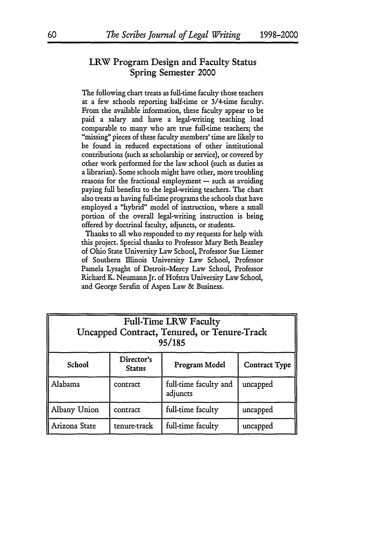## LRW Program Design and Faculty Status Spring Semester 2000

The following chart treats as full-time faculty those teachers at a few schools reporting half-time or 3/4-time faculty. From the available information, these faculty appear to be paid a salary and have a legal-writing teaching load comparable to many who are true full-time teachers; the "missing" pieces of these faculty members' time are likely to be found in reduced expectations of other institutional contributions (such as scholarship or service), or covered by other work performed for the law school (such as duties as a librarian). Some schools might have other, more troubling reasons for the fractional employment  $-$  such as avoiding paying full benefits to the legal-writing teachers. The chart also treats as having full-time programs the schools that have employed a "hybrid" model of instruction, where a small portion of the overall legal-writing instruction is being offered **by** doctrinal faculty, adjuncts, or students.

Thanks to all who responded to my requests for help with this project. Special thanks to Professor Mary Beth Beazley of Ohio State University Law School, Professor Sue Liemer of Southern Illinois University Law School, Professor Pamela Lysaght of Detroit-Mercy Law School, Professor Richard K. Neumann Jr. of Hofstra University Law School, and George Serafm of Aspen Law & Business.

| Full-Time LRW Faculty<br>Uncapped Contract, Tenured, or Tenure-Track<br>95/185 |              |                                   |          |  |
|--------------------------------------------------------------------------------|--------------|-----------------------------------|----------|--|
| Director's<br>School<br>Program Model<br>Contract Type<br><b>Status</b>        |              |                                   |          |  |
| Alabama                                                                        | contract     | full-time faculty and<br>adjuncts | uncapped |  |
| Albany Union                                                                   | contract     | full-time faculty                 | uncapped |  |
| Arizona State                                                                  | tenure-track | full-time faculty                 | uncapped |  |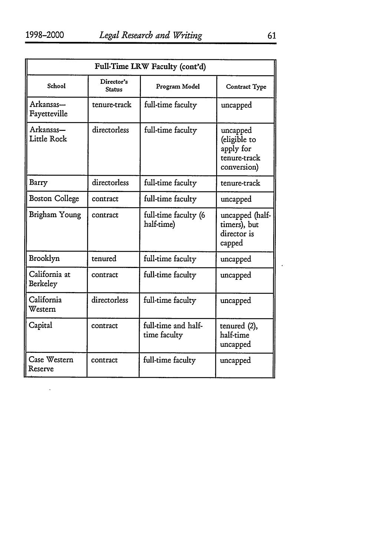|                           |                             | Full-Time LRW Faculty (cont'd)      |                                                                      |  |  |
|---------------------------|-----------------------------|-------------------------------------|----------------------------------------------------------------------|--|--|
| School                    | Director's<br><b>Status</b> | Program Model                       | Contract Type                                                        |  |  |
| Arkansas-<br>Fayetteville | tenure-track                | full-time faculty                   | uncapped                                                             |  |  |
| Arkansas-<br>Little Rock  | directorless                | full-time faculty                   | uncapped<br>(eligible to<br>apply for<br>tenure-track<br>conversion) |  |  |
| Barry                     | directorless                | full-time faculty                   | tenure-track                                                         |  |  |
| <b>Boston College</b>     | contract                    | full-time faculty                   | uncapped                                                             |  |  |
| Brigham Young             | contract                    | full-time faculty (6<br>half-time)  | uncapped (half-<br>timers), but<br>director is<br>capped             |  |  |
| Brooklyn                  | tenured                     | full-time faculty                   | uncapped                                                             |  |  |
| California at<br>Berkeley | contract                    | full-time faculty                   | uncapped                                                             |  |  |
| California<br>Western     | directorless                | full-time faculty                   | uncapped                                                             |  |  |
| Capital                   | contract                    | full-time and half-<br>time faculty | tenured (2),<br>half-time<br>uncapped                                |  |  |
| Case Western<br>Reserve   | contract                    | full-time faculty                   | uncapped                                                             |  |  |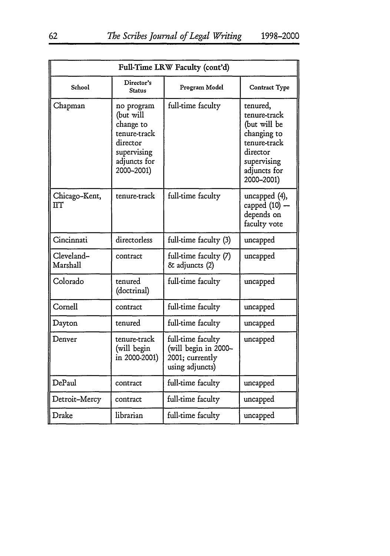| Full-Time LRW Faculty (cont'd) |                                                                                                               |                                                                                 |                                                                                                                                  |
|--------------------------------|---------------------------------------------------------------------------------------------------------------|---------------------------------------------------------------------------------|----------------------------------------------------------------------------------------------------------------------------------|
| School                         | Director's<br>Status                                                                                          | Program Model                                                                   | Contract Type                                                                                                                    |
| Chapman                        | no program<br>(but will<br>change to<br>tenure-track<br>director<br>supervising<br>adjuncts for<br>2000-2001) | full-time faculty                                                               | tenured,<br>tenure-track<br>(but will be<br>changing to<br>tenure-track<br>director<br>supervising<br>adjuncts for<br>2000-2001) |
| Chicago-Kent,<br>πт            | tenure-track                                                                                                  | full-time faculty                                                               | uncapped (4),<br>capped $(10)$ -<br>depends on<br>faculty vote                                                                   |
| Cincinnati                     | directorless                                                                                                  | full-time faculty (3)                                                           | uncapped                                                                                                                         |
| Cleveland-<br>Marshall         | contract                                                                                                      | full-time faculty (7)<br>& adjuncts (2)                                         | uncapped                                                                                                                         |
| Colorado                       | tenured<br>(doctrinal)                                                                                        | full-time faculty                                                               | uncapped                                                                                                                         |
| Cornell                        | contract                                                                                                      | full-time faculty                                                               | uncapped                                                                                                                         |
| Dayton                         | tenured                                                                                                       | full-time faculty                                                               | uncapped                                                                                                                         |
| Denver                         | tenure-track<br>(will begin<br>in 2000-2001)                                                                  | full-time faculty<br>(will begin in 2000-<br>2001; currently<br>using adjuncts) | uncapped                                                                                                                         |
| DePaul                         | contract                                                                                                      | full-time faculty                                                               | uncapped                                                                                                                         |
| Detroit-Mercy                  | contract                                                                                                      | full-time faculty                                                               | uncapped                                                                                                                         |
| Drake                          | librarian                                                                                                     | full-time faculty                                                               | uncapped                                                                                                                         |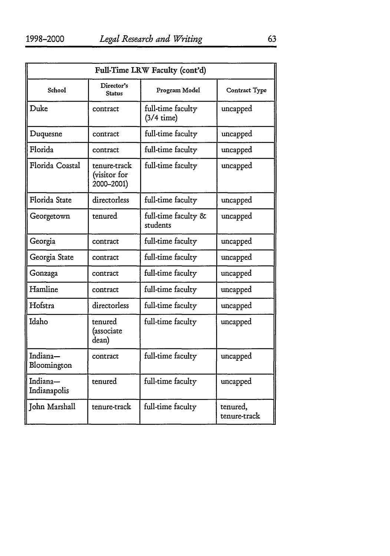| Full-Time LRW Faculty (cont'd) |                                            |                                           |                          |
|--------------------------------|--------------------------------------------|-------------------------------------------|--------------------------|
| School                         | Director's<br><b>Status</b>                | Program Model                             | Contract Type            |
| Duke                           | contract                                   | full-time faculty<br>$(3/4 \text{ time})$ | uncapped                 |
| Duquesne                       | contract                                   | full-time faculty                         | uncapped                 |
| Florida                        | contract                                   | full-time faculty                         | uncapped                 |
| Florida Coastal                | tenure-track<br>(visitor for<br>2000-2001) | full-time faculty                         | uncapped                 |
| Florida State                  | directorless                               | full-time faculty                         | uncapped                 |
| Georgetown                     | tenured                                    | full-time faculty &<br>students           | uncapped                 |
| Georgia                        | contract                                   | full-time faculty                         | uncapped                 |
| Georgia State                  | contract                                   | full-time faculty                         | uncapped                 |
| Gonzaga                        | contract                                   | full-time faculty                         | uncapped                 |
| Hamline                        | contract                                   | full-time faculty                         | uncapped                 |
| Hofstra                        | directorless                               | full-time faculty                         | uncapped                 |
| Idaho                          | tenured<br>(associate<br>dean)             | full-time faculty                         | uncapped                 |
| Indiana-<br>Bloomington        | contract                                   | full-time faculty                         | uncapped                 |
| Indiana-<br>Indianapolis       | tenured                                    | full-time faculty                         | uncapped                 |
| John Marshall                  | tenure-track                               | full-time faculty                         | tenured,<br>tenure-track |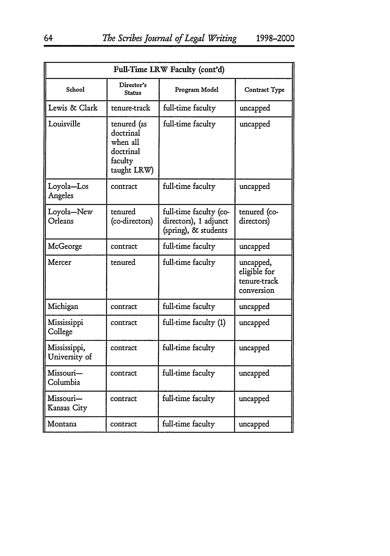| Full-Time LRW Faculty (cont'd) |                                                                             |                                                                         |                                                         |  |
|--------------------------------|-----------------------------------------------------------------------------|-------------------------------------------------------------------------|---------------------------------------------------------|--|
| School                         | Director's<br><b>Status</b>                                                 | Program Model                                                           | Contract Type                                           |  |
| Lewis & Clark                  | tenure-track                                                                | full-time faculty                                                       | uncapped                                                |  |
| Louisville                     | tenured (as<br>doctrinal<br>when all<br>doctrinal<br>faculty<br>taught LRW) | full-time faculty                                                       | uncapped                                                |  |
| Loyola-Los<br>Angeles          | contract                                                                    | full-time faculty                                                       | uncapped                                                |  |
| Loyola-New<br>Orleans          | tenured<br>(co-directors)                                                   | full-time faculty (co-<br>directors), 1 adjunct<br>(spring), & students | tenured (co-<br>directors)                              |  |
| McGeorge                       | contract                                                                    | full-time faculty                                                       | uncapped                                                |  |
| Mercer                         | tenured                                                                     | full-time faculty                                                       | uncapped,<br>eligible for<br>tenure-track<br>conversion |  |
| Michigan                       | contract                                                                    | full-time faculty                                                       | uncapped                                                |  |
| Mississippi<br>College         | contract                                                                    | full-time faculty (1)                                                   | uncapped                                                |  |
| Mississippi,<br>University of  | contract                                                                    | full-time faculty                                                       | uncapped                                                |  |
| Missouri-<br>Columbia          | contract                                                                    | full-time faculty                                                       | uncapped                                                |  |
| Missouri-<br>Kansas City       | contract                                                                    | full-time faculty                                                       | uncapped                                                |  |
| Montana                        | contract                                                                    | full-time faculty                                                       | uncapped                                                |  |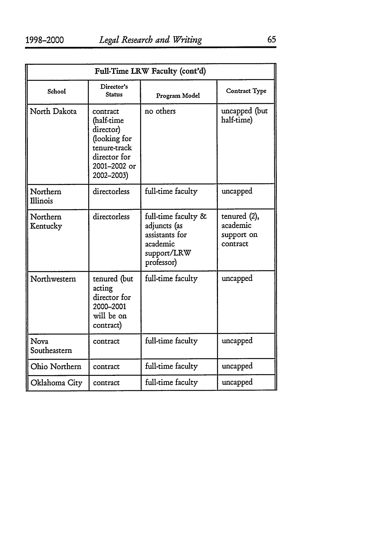| Full-Time LRW Faculty (cont'd) |                                                                                                                   |                                                                                                |                                                    |
|--------------------------------|-------------------------------------------------------------------------------------------------------------------|------------------------------------------------------------------------------------------------|----------------------------------------------------|
| School                         | Director's<br><b>Status</b>                                                                                       | Program Model                                                                                  | Contract Type                                      |
| North Dakota                   | contract<br>(half-time<br>director)<br>(looking for<br>tenure-track<br>director for<br>2001-2002 or<br>2002-2003) | no others                                                                                      | uncapped (but<br>half-time)                        |
| Northern<br>Illinois           | directorless                                                                                                      | full-time faculty                                                                              | uncapped                                           |
| Northern<br>Kentucky           | directorless                                                                                                      | full-time faculty &<br>adjuncts (as<br>assistants for<br>academic<br>support/LRW<br>professor) | tenured (2),<br>academic<br>support on<br>contract |
| Northwestern                   | tenured (but<br>acting<br>director for<br>2000-2001<br>will be on<br>contract)                                    | full-time faculty                                                                              | uncapped                                           |
| <b>Nova</b><br>Southeastern    | contract                                                                                                          | full-time faculty                                                                              | uncapped                                           |
| Ohio Northern                  | contract                                                                                                          | full-time faculty                                                                              | uncapped                                           |
| Oklahoma City                  | contract                                                                                                          | full-time faculty                                                                              | uncapped                                           |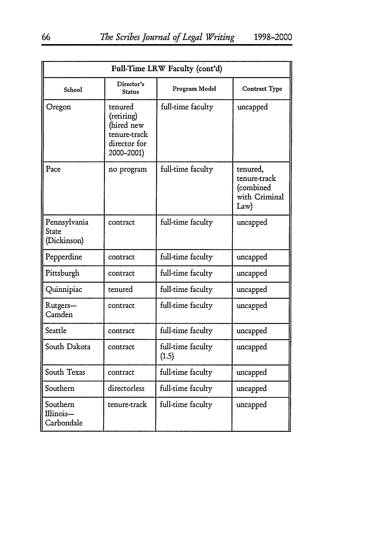| Full-Time LRW Faculty (cont'd)       |                                                                                   |                            |                                                                |
|--------------------------------------|-----------------------------------------------------------------------------------|----------------------------|----------------------------------------------------------------|
| School                               | Director's<br>Status                                                              | Program Model              | Contract Type                                                  |
| Oregon                               | tenured<br>(retiring)<br>(hired new<br>tenure-track<br>director for<br>2000-2001) | full-time faculty          | uncapped                                                       |
| Pace                                 | no program                                                                        | full-time faculty          | tenured,<br>tenure-track<br>(combined<br>with Criminal<br>Law) |
| Pennsylvania<br>State<br>(Dickinson) | contract                                                                          | full-time faculty          | uncapped                                                       |
| Pepperdine                           | contract                                                                          | full-time faculty          | uncapped                                                       |
| Pittsburgh                           | contract                                                                          | full-time faculty          | uncapped                                                       |
| Quinnipiac                           | tenured                                                                           | full-time faculty          | uncapped                                                       |
| Rutgers-<br>Camden                   | contract                                                                          | full-time faculty          | uncapped                                                       |
| Seattle                              | contract                                                                          | full-time faculty          | uncapped                                                       |
| South Dakota                         | contract                                                                          | full-time faculty<br>(1.5) | uncapped                                                       |
| South Texas                          | contract                                                                          | full-time faculty          | uncapped                                                       |
| Southern                             | directorless                                                                      | full-time faculty          | uncapped                                                       |
| Southern<br>Illinois-<br>Carbondale  | tenure-track                                                                      | full-time faculty          | uncapped                                                       |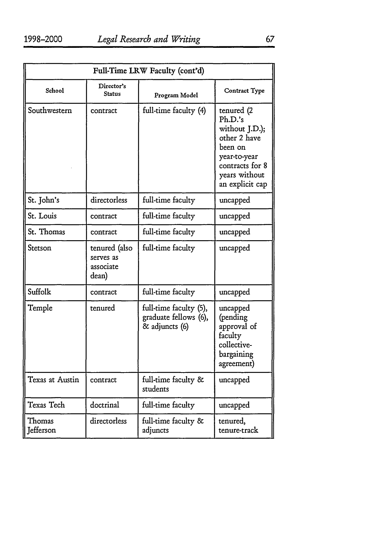| Full-Time LRW Faculty (cont'd) |                                                  |                                                                   |                                                                                                                                           |
|--------------------------------|--------------------------------------------------|-------------------------------------------------------------------|-------------------------------------------------------------------------------------------------------------------------------------------|
| School                         | Director's<br>Status                             | Program Model                                                     | Contract Type                                                                                                                             |
| Southwestern                   | contract                                         | full-time faculty (4)                                             | tenured (2<br>Ph.D.'s<br>without J.D.);<br>other 2 have<br>been on<br>year-to-year<br>contracts for 8<br>years without<br>an explicit cap |
| St. John's                     | directorless                                     | full-time faculty                                                 | uncapped                                                                                                                                  |
| St. Louis                      | contract                                         | full-time faculty                                                 | uncapped                                                                                                                                  |
| St. Thomas                     | contract                                         | full-time faculty                                                 | uncapped                                                                                                                                  |
| Stetson                        | tenured (also<br>serves as<br>associate<br>dean) | full-time faculty                                                 | uncapped                                                                                                                                  |
| Suffolk                        | contract                                         | full-time faculty                                                 | uncapped                                                                                                                                  |
| Temple                         | tenured                                          | full-time faculty (5),<br>graduate fellows (6),<br>& adjuncts (6) | uncapped<br>(pending<br>approval of<br>faculty<br>collective-<br>bargaining<br>agreement)                                                 |
| Texas at Austin                | contract                                         | full-time faculty &<br>students                                   | uncapped                                                                                                                                  |
| Texas Tech                     | doctrinal                                        | full-time faculty                                                 | uncapped                                                                                                                                  |
| Thomas<br>Jefferson            | directorless                                     | full-time faculty &<br>adjuncts                                   | tenured,<br>tenure-track                                                                                                                  |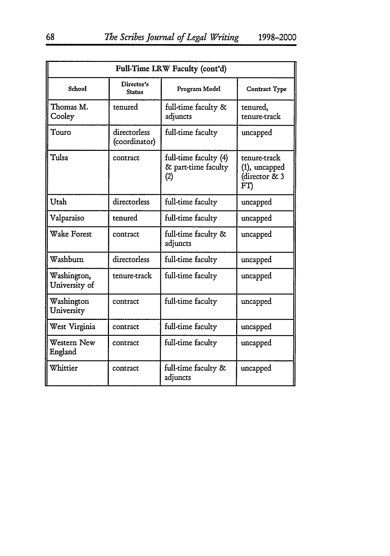| Full-Time LRW Faculty (cont'd) |                               |                                                     |                                                       |
|--------------------------------|-------------------------------|-----------------------------------------------------|-------------------------------------------------------|
| <b>School</b>                  | Director's<br><b>Status</b>   | Program Model                                       | Contract Type                                         |
| Thomas M.<br>Cooley            | tenured                       | full-time faculty &<br>adjuncts                     | tenured.<br>tenure-track                              |
| Touro                          | directorless<br>(coordinator) | full-time faculty                                   | uncapped                                              |
| Tulsa                          | contract                      | full-time faculty (4)<br>& part-time faculty<br>(2) | tenure-track<br>(1), uncapped<br>(director & 3<br>FT) |
| Utah                           | directorless                  | full-time faculty                                   | uncapped                                              |
| Valparaiso                     | tenured                       | full-time faculty                                   | uncapped                                              |
| Wake Forest                    | contract                      | full-time faculty &<br>adjuncts                     | uncapped                                              |
| Washburn                       | directorless                  | full-time faculty                                   | uncapped                                              |
| Washington,<br>University of   | tenure-track                  | full-time faculty                                   | uncapped                                              |
| Washington<br>University       | contract                      | full-time faculty                                   | uncapped                                              |
| West Virginia                  | contract                      | full-time faculty                                   | uncapped                                              |
| Western New<br>England         | contract                      | full-time faculty                                   | uncapped                                              |
| Whittier                       | contract                      | full-time faculty &<br>adjuncts                     | uncapped                                              |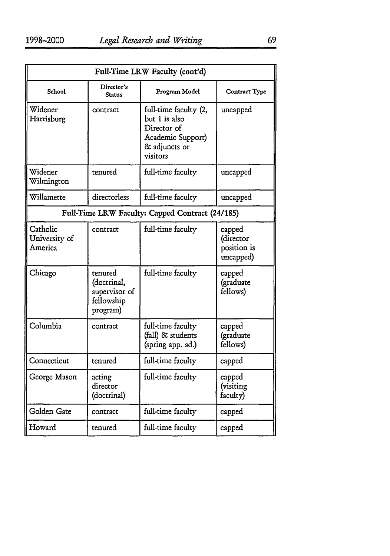| Full-Time LRW Faculty (cont'd)       |                                                                   |                                                                                                         |                                                 |
|--------------------------------------|-------------------------------------------------------------------|---------------------------------------------------------------------------------------------------------|-------------------------------------------------|
| School                               | Director's<br><b>Status</b>                                       | Program Model                                                                                           | Contract Type                                   |
| Widener<br>Harrisburg                | contract                                                          | full-time faculty (2,<br>but 1 is also<br>Director of<br>Academic Support)<br>& adjuncts or<br>visitors | uncapped                                        |
| Widener<br>Wilmington                | tenured                                                           | full-time faculty                                                                                       | uncapped                                        |
| Willamette                           | directorless                                                      | full-time faculty                                                                                       | uncapped                                        |
|                                      |                                                                   | Full-Time LRW Faculty: Capped Contract (24/185)                                                         |                                                 |
| Catholic<br>University of<br>America | contract                                                          | full-time faculty                                                                                       | capped<br>(director<br>position is<br>uncapped) |
| Chicago                              | tenured<br>(doctrinal,<br>supervisor of<br>fellowship<br>program) | full-time faculty                                                                                       | capped<br>(graduate<br>fellows)                 |
| Columbia                             | contract                                                          | full-time faculty<br>(fall) & students<br>(spring app. ad.)                                             | capped<br>(graduate<br>fellows)                 |
| Connecticut                          | tenured                                                           | full-time faculty                                                                                       | capped                                          |
| George Mason                         | acting<br>director<br>(doctrinal)                                 | full-time faculty                                                                                       | capped<br>(visiting<br>faculty)                 |
| Golden Gate                          | contract                                                          | full-time faculty                                                                                       | capped                                          |
| Howard                               | tenured                                                           | full-time faculty                                                                                       | capped                                          |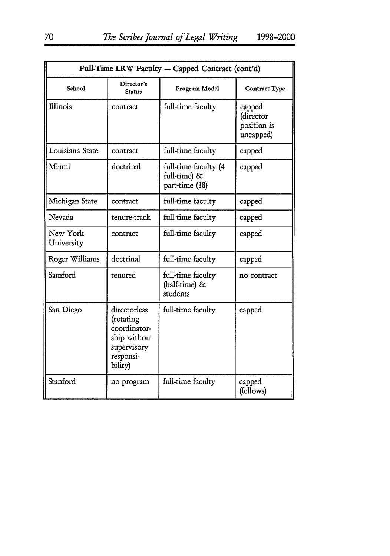| Full-Time LRW Faculty - Capped Contract (cont'd) |                                                                                                  |                                                        |                                                 |
|--------------------------------------------------|--------------------------------------------------------------------------------------------------|--------------------------------------------------------|-------------------------------------------------|
| School                                           | Director's<br><b>Status</b>                                                                      | Program Model                                          | <b>Contract Type</b>                            |
| Illinois                                         | contract                                                                                         | full-time faculty                                      | capped<br>(director<br>position is<br>uncapped) |
| Louisiana State                                  | contract                                                                                         | full-time faculty                                      | capped                                          |
| Miami                                            | doctrinal                                                                                        | full-time faculty (4<br>full-time) &<br>part-time (18) | capped                                          |
| Michigan State                                   | contract                                                                                         | full-time faculty                                      | capped                                          |
| Nevada                                           | tenure-track                                                                                     | full-time faculty                                      | capped                                          |
| New York<br>University                           | contract                                                                                         | full-time faculty                                      | capped                                          |
| Roger Williams                                   | doctrinal                                                                                        | full-time faculty                                      | capped                                          |
| Samford                                          | tenured                                                                                          | full-time faculty<br>(half-time) &<br>students         | no contract                                     |
| San Diego                                        | directorless<br>(rotating<br>coordinator-<br>ship without<br>supervisory<br>responsi-<br>bility) | full-time faculty                                      | capped                                          |
| Stanford                                         | no program                                                                                       | full-time faculty                                      | capped<br>(fellows)                             |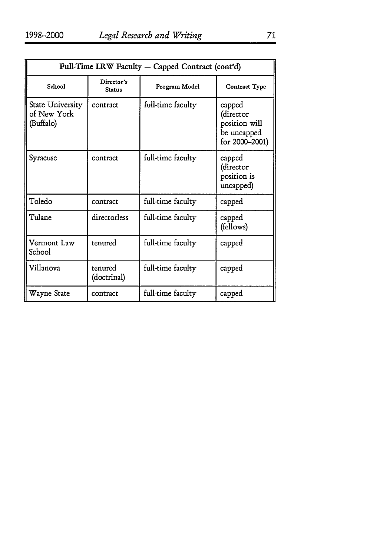| Full-Time LRW Faculty - Capped Contract (cont'd) |                             |                   |                                                                       |
|--------------------------------------------------|-----------------------------|-------------------|-----------------------------------------------------------------------|
| School                                           | Director's<br><b>Status</b> | Program Model     | Contract Type                                                         |
| State University<br>of New York<br>(Buffalo)     | contract                    | full-time faculty | capped<br>(director<br>position will<br>be uncapped<br>for 2000–2001) |
| Syracuse                                         | contract                    | full-time faculty | capped<br>(director<br>position is<br>uncapped)                       |
| Toledo                                           | contract                    | full-time faculty | capped                                                                |
| Tulane                                           | directorless                | full-time faculty | capped<br>(fellows)                                                   |
| Vermont Law<br>School                            | tenured                     | full-time faculty | capped                                                                |
| Villanova                                        | tenured<br>(doctrinal)      | full-time faculty | capped                                                                |
| Wayne State                                      | contract                    | full-time faculty | capped                                                                |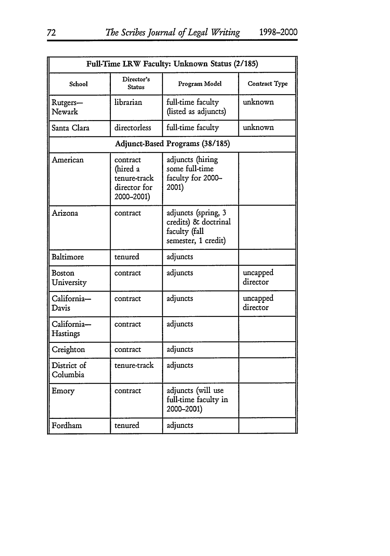| Full-Time LRW Faculty: Unknown Status (2/185) |                                                                    |                                                                                     |                      |
|-----------------------------------------------|--------------------------------------------------------------------|-------------------------------------------------------------------------------------|----------------------|
| School                                        | Director's<br>Status                                               | Program Model                                                                       | Contract Type        |
| Rutgers-<br>Newark                            | librarian                                                          | full-time faculty<br>(listed as adjuncts)                                           | unknown              |
| Santa Clara                                   | directorless                                                       | full-time faculty                                                                   | unknown              |
|                                               |                                                                    | Adjunct-Based Programs (38/185)                                                     |                      |
| American                                      | contract<br>(hired a<br>tenure-track<br>director for<br>2000-2001) | adjuncts (hiring<br>some full-time<br>faculty for 2000-<br>2001)                    |                      |
| Arizona                                       | contract                                                           | adjuncts (spring, 3<br>credits) & doctrinal<br>faculty (fall<br>semester, 1 credit) |                      |
| Baltimore                                     | tenured                                                            | adjuncts                                                                            |                      |
| Boston<br>University                          | contract                                                           | adjuncts                                                                            | uncapped<br>director |
| California-<br>Davis                          | contract                                                           | adjuncts                                                                            | uncapped<br>director |
| California-<br>Hastings                       | contract                                                           | adjuncts                                                                            |                      |
| Creighton                                     | contract                                                           | adjuncts                                                                            |                      |
| District of<br>Columbia                       | tenure-track                                                       | adjuncts                                                                            |                      |
| Emory                                         | contract                                                           | adjuncts (will use<br>full-time faculty in<br>2000-2001)                            |                      |
| Fordham                                       | tenured                                                            | adjuncts                                                                            |                      |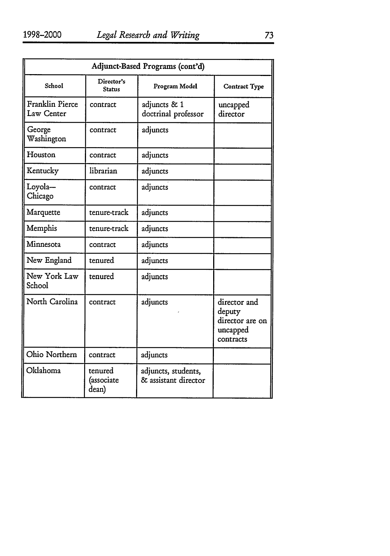| Adjunct-Based Programs (cont'd) |                                |                                             |                                                                    |
|---------------------------------|--------------------------------|---------------------------------------------|--------------------------------------------------------------------|
| School                          | Director's<br>Status           | Program Model                               | Contract Type                                                      |
| Franklin Pierce<br>Law Center   | contract                       | adjuncts & 1<br>doctrinal professor         | uncapped<br>director                                               |
| George<br>Washington            | contract                       | adjuncts                                    |                                                                    |
| Houston                         | contract                       | adjuncts                                    |                                                                    |
| Kentucky                        | librarian                      | adjuncts                                    |                                                                    |
| Loyola-<br>Chicago              | contract                       | adjuncts                                    |                                                                    |
| Marquette                       | tenure-track                   | adjuncts                                    |                                                                    |
| Memphis                         | tenure-track                   | adjuncts                                    |                                                                    |
| Minnesota                       | contract                       | adjuncts                                    |                                                                    |
| New England                     | tenured                        | adjuncts                                    |                                                                    |
| New York Law<br>School          | tenured                        | adjuncts                                    |                                                                    |
| North Carolina                  | contract                       | adjuncts                                    | director and<br>deputy<br>director are on<br>uncapped<br>contracts |
| Ohio Northern                   | contract                       | adjuncts                                    |                                                                    |
| Oklahoma                        | tenured<br>(associate<br>dean) | adjuncts, students,<br>& assistant director |                                                                    |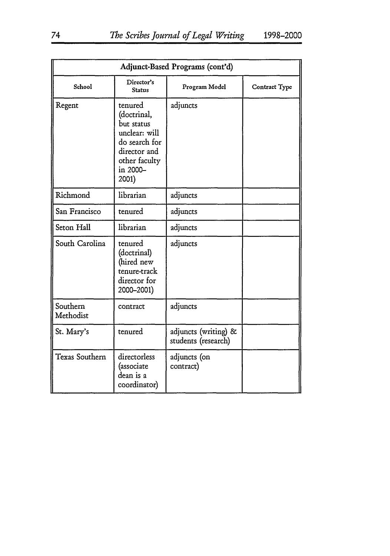| Adjunct-Based Programs (cont'd) |                                                                                                                              |                                             |               |
|---------------------------------|------------------------------------------------------------------------------------------------------------------------------|---------------------------------------------|---------------|
| School                          | Director's<br><b>Status</b>                                                                                                  | Program Model                               | Contract Type |
| Regent                          | tenured<br>(doctrinal,<br>but status<br>unclear: will<br>do search for<br>director and<br>other faculty<br>in 2000-<br>2001) | adjuncts                                    |               |
| Richmond                        | librarian                                                                                                                    | adjuncts                                    |               |
| San Francisco                   | tenured                                                                                                                      | adjuncts                                    |               |
| Seton Hall                      | librarian                                                                                                                    | adjuncts                                    |               |
| South Carolina                  | tenured<br>(doctrinal)<br>(hired new<br>tenure-track<br>director for<br>2000-2001)                                           | adjuncts                                    |               |
| Southern<br>Methodist           | contract                                                                                                                     | adjuncts                                    |               |
| St. Mary's                      | tenured                                                                                                                      | adjuncts (writing) &<br>students (research) |               |
| Texas Southern                  | directorless<br>(associate<br>dean is a<br>coordinator)                                                                      | adjuncts (on<br>contract)                   |               |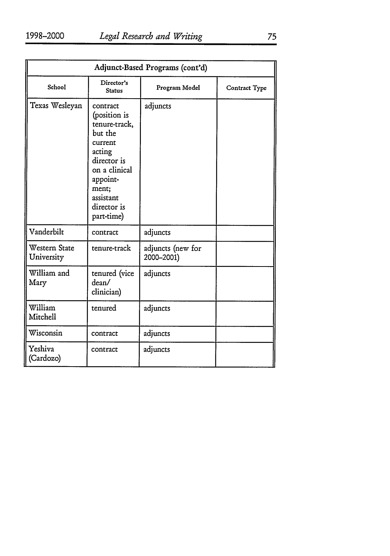| Adjunct-Based Programs (cont'd) |                                                                                                                                                                          |                                 |               |
|---------------------------------|--------------------------------------------------------------------------------------------------------------------------------------------------------------------------|---------------------------------|---------------|
| School                          | Director's<br><b>Status</b>                                                                                                                                              | Program Model                   | Contract Type |
| Texas Wesleyan                  | contract<br>(position is<br>tenure-track,<br>but the<br>current<br>acting<br>director is<br>on a clinical<br>appoint-<br>ment;<br>assistant<br>director is<br>part-time) | adjuncts                        |               |
| Vanderbilt                      | contract                                                                                                                                                                 | adjuncts                        |               |
| Western State<br>University     | tenure-track                                                                                                                                                             | adjuncts (new for<br>2000-2001) |               |
| William and<br>Mary             | tenured (vice<br>dean/<br>clinician)                                                                                                                                     | adjuncts                        |               |
| William<br>Mitchell             | tenured                                                                                                                                                                  | adjuncts                        |               |
| Wisconsin                       | contract                                                                                                                                                                 | adjuncts                        |               |
| Yeshiva<br>(Cardozo)            | contract                                                                                                                                                                 | adjuncts                        |               |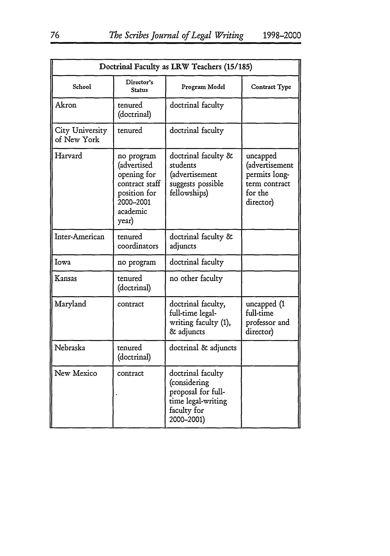| Doctrinal Faculty as LRW Teachers (15/185) |                                                                                                              |                                                                                                            |                                                                                      |
|--------------------------------------------|--------------------------------------------------------------------------------------------------------------|------------------------------------------------------------------------------------------------------------|--------------------------------------------------------------------------------------|
| School                                     | Director's<br><b>Status</b>                                                                                  | Program Model                                                                                              | Contract Type                                                                        |
| Akron                                      | tenured<br>(doctrinal)                                                                                       | doctrinal faculty                                                                                          |                                                                                      |
| City University<br>of New York             | tenured                                                                                                      | doctrinal faculty                                                                                          |                                                                                      |
| Harvard                                    | no program<br>(advertised<br>opening for<br>contract staff<br>position for<br>2000-2001<br>academic<br>year) | doctrinal faculty &<br>students<br>(advertisement<br>suggests possible<br>fellowships)                     | uncapped<br>(advertisement<br>permits long-<br>term contract<br>for the<br>director) |
| Inter-American                             | tenured<br>coordinators                                                                                      | doctrinal faculty &<br>adjuncts                                                                            |                                                                                      |
| Iowa                                       | no program                                                                                                   | doctrinal faculty                                                                                          |                                                                                      |
| Kansas                                     | tenured<br>(doctrinal)                                                                                       | no other faculty                                                                                           |                                                                                      |
| Maryland                                   | contract                                                                                                     | doctrinal faculty,<br>full-time legal-<br>writing faculty (1),<br>& adjuncts                               | uncapped (1<br>full-time<br>professor and<br>director)                               |
| Nebraska                                   | tenured<br>(doctrinal)                                                                                       | doctrinal & adjuncts                                                                                       |                                                                                      |
| New Mexico                                 | contract                                                                                                     | doctrinal faculty<br>(considering<br>proposal for full-<br>time legal-writing<br>faculty for<br>2000-2001) |                                                                                      |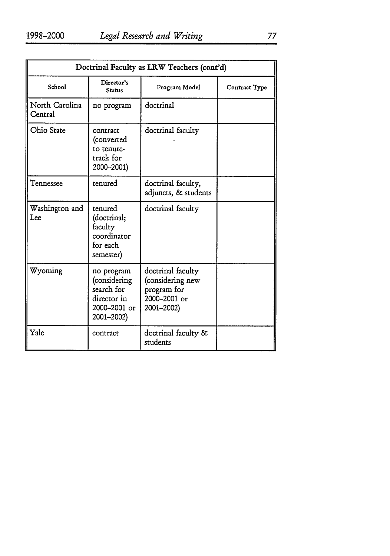| Doctrinal Faculty as LRW Teachers (cont'd) |                                                                                       |                                                                                    |                      |
|--------------------------------------------|---------------------------------------------------------------------------------------|------------------------------------------------------------------------------------|----------------------|
| School                                     | Director's<br>Status                                                                  | Program Model                                                                      | <b>Contract Type</b> |
| North Carolina<br>Central                  | no program                                                                            | doctrinal                                                                          |                      |
| Ohio State                                 | contract<br>(converted<br>to tenure-<br>track for<br>2000-2001)                       | doctrinal faculty                                                                  |                      |
| Tennessee                                  | tenured                                                                               | doctrinal faculty,<br>adjuncts, & students                                         |                      |
| Washington and<br>Lee                      | tenured<br>(doctrinal;<br>faculty<br>coordinator<br>for each<br>semester)             | doctrinal faculty                                                                  |                      |
| Wyoming                                    | no program<br>(considering<br>search for<br>director in<br>2000–2001 or<br>2001-2002) | doctrinal faculty<br>(considering new<br>program for<br>2000-2001 or<br>2001-2002) |                      |
| Yale                                       | contract                                                                              | doctrinal faculty &<br>students                                                    |                      |